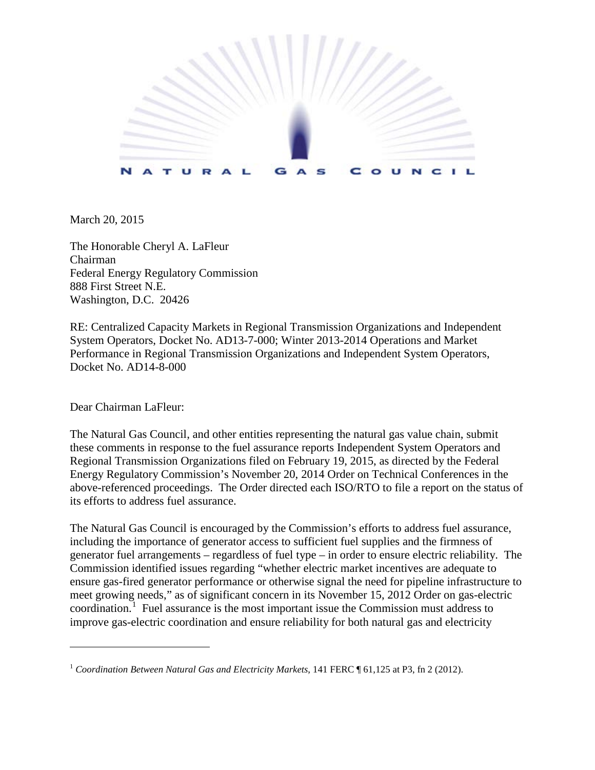

March 20, 2015

The Honorable Cheryl A. LaFleur Chairman Federal Energy Regulatory Commission 888 First Street N.E. Washington, D.C. 20426

RE: Centralized Capacity Markets in Regional Transmission Organizations and Independent System Operators, Docket No. AD13-7-000; Winter 2013-2014 Operations and Market Performance in Regional Transmission Organizations and Independent System Operators, Docket No. AD14-8-000

Dear Chairman LaFleur:

 $\overline{\phantom{a}}$ 

The Natural Gas Council, and other entities representing the natural gas value chain, submit these comments in response to the fuel assurance reports Independent System Operators and Regional Transmission Organizations filed on February 19, 2015, as directed by the Federal Energy Regulatory Commission's November 20, 2014 Order on Technical Conferences in the above-referenced proceedings. The Order directed each ISO/RTO to file a report on the status of its efforts to address fuel assurance.

The Natural Gas Council is encouraged by the Commission's efforts to address fuel assurance, including the importance of generator access to sufficient fuel supplies and the firmness of generator fuel arrangements – regardless of fuel type – in order to ensure electric reliability. The Commission identified issues regarding "whether electric market incentives are adequate to ensure gas-fired generator performance or otherwise signal the need for pipeline infrastructure to meet growing needs," as of significant concern in its November 15, 2012 Order on gas-electric coordination.<sup>[1](#page-0-0)</sup> Fuel assurance is the most important issue the Commission must address to improve gas-electric coordination and ensure reliability for both natural gas and electricity

<span id="page-0-0"></span><sup>1</sup> *Coordination Between Natural Gas and Electricity Markets*, 141 FERC ¶ 61,125 at P3, fn 2 (2012).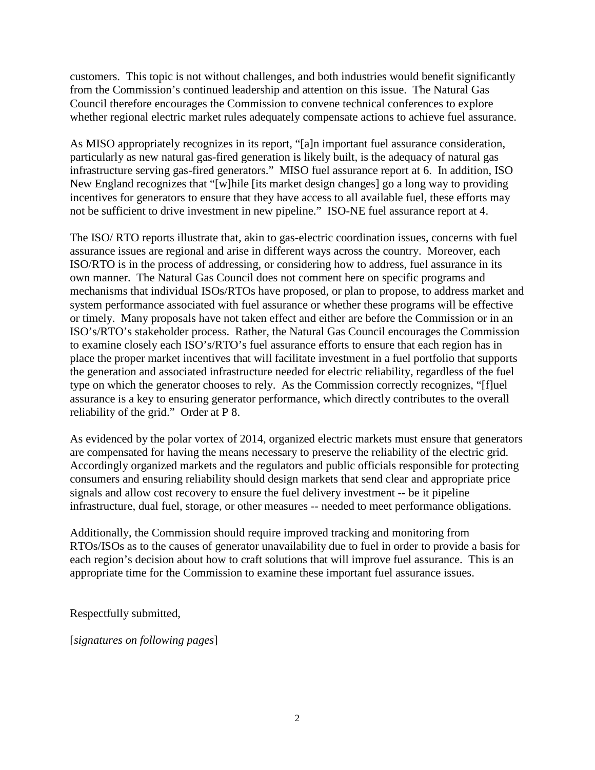customers. This topic is not without challenges, and both industries would benefit significantly from the Commission's continued leadership and attention on this issue. The Natural Gas Council therefore encourages the Commission to convene technical conferences to explore whether regional electric market rules adequately compensate actions to achieve fuel assurance.

As MISO appropriately recognizes in its report, "[a]n important fuel assurance consideration, particularly as new natural gas-fired generation is likely built, is the adequacy of natural gas infrastructure serving gas-fired generators." MISO fuel assurance report at 6. In addition, ISO New England recognizes that "[w]hile [its market design changes] go a long way to providing incentives for generators to ensure that they have access to all available fuel, these efforts may not be sufficient to drive investment in new pipeline." ISO-NE fuel assurance report at 4.

The ISO/ RTO reports illustrate that, akin to gas-electric coordination issues, concerns with fuel assurance issues are regional and arise in different ways across the country. Moreover, each ISO/RTO is in the process of addressing, or considering how to address, fuel assurance in its own manner. The Natural Gas Council does not comment here on specific programs and mechanisms that individual ISOs/RTOs have proposed, or plan to propose, to address market and system performance associated with fuel assurance or whether these programs will be effective or timely. Many proposals have not taken effect and either are before the Commission or in an ISO's/RTO's stakeholder process. Rather, the Natural Gas Council encourages the Commission to examine closely each ISO's/RTO's fuel assurance efforts to ensure that each region has in place the proper market incentives that will facilitate investment in a fuel portfolio that supports the generation and associated infrastructure needed for electric reliability, regardless of the fuel type on which the generator chooses to rely. As the Commission correctly recognizes, "[f]uel assurance is a key to ensuring generator performance, which directly contributes to the overall reliability of the grid." Order at P 8.

As evidenced by the polar vortex of 2014, organized electric markets must ensure that generators are compensated for having the means necessary to preserve the reliability of the electric grid. Accordingly organized markets and the regulators and public officials responsible for protecting consumers and ensuring reliability should design markets that send clear and appropriate price signals and allow cost recovery to ensure the fuel delivery investment -- be it pipeline infrastructure, dual fuel, storage, or other measures -- needed to meet performance obligations.

Additionally, the Commission should require improved tracking and monitoring from RTOs/ISOs as to the causes of generator unavailability due to fuel in order to provide a basis for each region's decision about how to craft solutions that will improve fuel assurance. This is an appropriate time for the Commission to examine these important fuel assurance issues.

Respectfully submitted,

[*signatures on following pages*]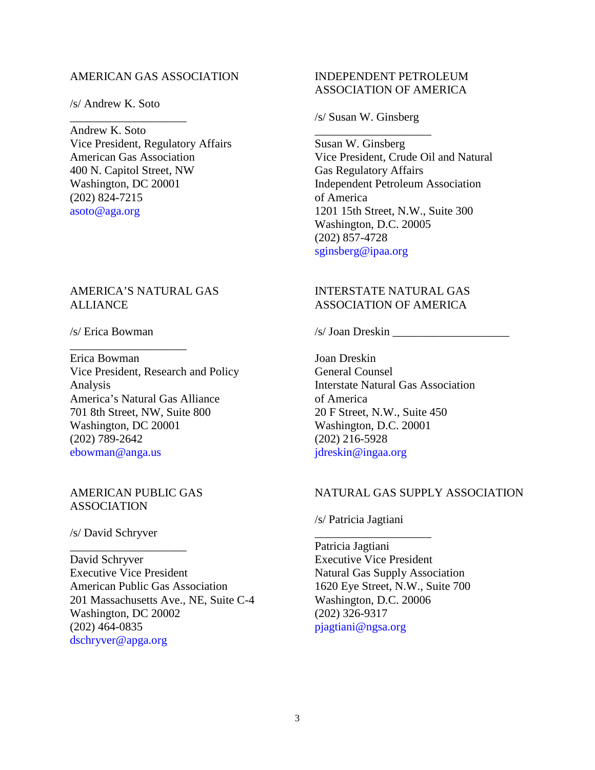# AMERICAN GAS ASSOCIATION

/s/ Andrew K. Soto

\_\_\_\_\_\_\_\_\_\_\_\_\_\_\_\_\_\_\_\_

Andrew K. Soto Vice President, Regulatory Affairs American Gas Association 400 N. Capitol Street, NW Washington, DC 20001 (202) 824-7215 asoto@aga.org

## AMERICA'S NATURAL GAS ALLIANCE

/s/ Erica Bowman

\_\_\_\_\_\_\_\_\_\_\_\_\_\_\_\_\_\_\_\_

Erica Bowman Vice President, Research and Policy Analysis America's Natural Gas Alliance 701 8th Street, NW, Suite 800 Washington, DC 20001 (202) 789-2642 ebowman@anga.us

#### AMERICAN PUBLIC GAS ASSOCIATION

\_\_\_\_\_\_\_\_\_\_\_\_\_\_\_\_\_\_\_\_

/s/ David Schryver

David Schryver Executive Vice President American Public Gas Association 201 Massachusetts Ave., NE, Suite C-4 Washington, DC 20002 (202) 464-0835 dschryver@apga.org

# INDEPENDENT PETROLEUM ASSOCIATION OF AMERICA

/s/ Susan W. Ginsberg

\_\_\_\_\_\_\_\_\_\_\_\_\_\_\_\_\_\_\_\_

Susan W. Ginsberg Vice President, Crude Oil and Natural Gas Regulatory Affairs Independent Petroleum Association of America 1201 15th Street, N.W., Suite 300 Washington, D.C. 20005 (202) 857-4728 sginsberg@ipaa.org

# INTERSTATE NATURAL GAS ASSOCIATION OF AMERICA

/s/ Joan Dreskin \_\_\_\_\_\_\_\_\_\_\_\_\_\_\_\_\_\_\_\_

Joan Dreskin General Counsel Interstate Natural Gas Association of America 20 F Street, N.W., Suite 450 Washington, D.C. 20001 (202) 216-5928 jdreskin@ingaa.org

### NATURAL GAS SUPPLY ASSOCIATION

/s/ Patricia Jagtiani

\_\_\_\_\_\_\_\_\_\_\_\_\_\_\_\_\_\_\_\_

Patricia Jagtiani Executive Vice President Natural Gas Supply Association 1620 Eye Street, N.W., Suite 700 Washington, D.C. 20006 (202) 326-9317 pjagtiani@ngsa.org